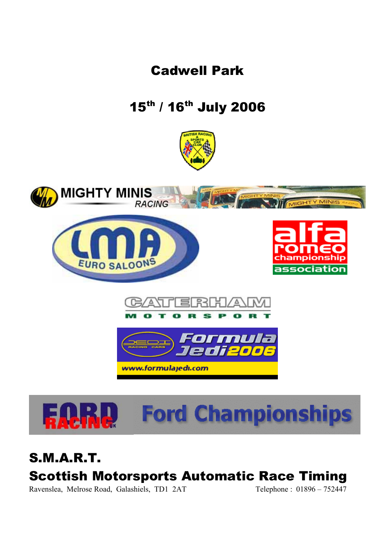Cadwell Park

15th / 16th July 2006







S.M.A.R.T. Scottish Motorsports Automatic Race Timing Ravenslea, Melrose Road, Galashiels, TD1 2AT Telephone : 01896 – 752447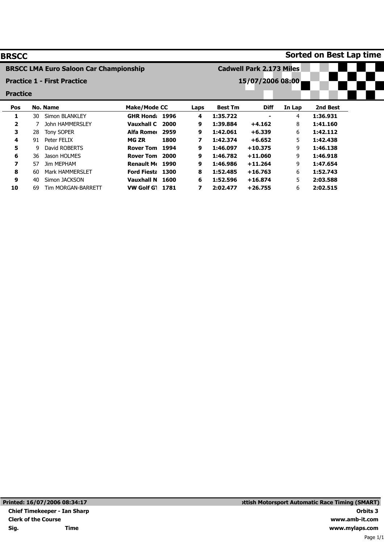| <b>BRSCC</b>                       |    |                                               |                     |      |                                 |                  |             |        | Sorted on Best Lap time |  |  |
|------------------------------------|----|-----------------------------------------------|---------------------|------|---------------------------------|------------------|-------------|--------|-------------------------|--|--|
|                                    |    | <b>BRSCC LMA Euro Saloon Car Championship</b> |                     |      | <b>Cadwell Park 2.173 Miles</b> |                  |             |        |                         |  |  |
| <b>Practice 1 - First Practice</b> |    |                                               |                     |      |                                 | 15/07/2006 08:00 |             |        |                         |  |  |
| <b>Practice</b>                    |    |                                               |                     |      |                                 |                  |             |        |                         |  |  |
| Pos                                |    | <b>No. Name</b>                               | <b>Make/Mode CC</b> |      | Laps                            | <b>Best Tm</b>   | <b>Diff</b> | In Lap | 2nd Best                |  |  |
| 1                                  | 30 | Simon BLANKLEY                                | <b>GHR Hond</b>     | 1996 | 4                               | 1:35.722         |             | 4      | 1:36.931                |  |  |
| 2                                  |    | John HAMMERSLEY                               | <b>Vauxhall C</b>   | 2000 | 9                               | 1:39.884         | $+4.162$    | 8      | 1:41.160                |  |  |
| 3                                  | 28 | <b>Tony SOPER</b>                             | Alfa Romer          | 2959 | 9                               | 1:42.061         | $+6.339$    | 6      | 1:42.112                |  |  |
| 4                                  | 91 | Peter FELIX                                   | <b>MG ZR</b>        | 1800 | 7                               | 1:42.374         | $+6.652$    | 5      | 1:42.438                |  |  |
| 5                                  | 9  | David ROBERTS                                 | <b>Rover Tom</b>    | 1994 | 9                               | 1:46.097         | $+10.375$   | 9      | 1:46.138                |  |  |
| 6                                  | 36 | Jason HOLMES                                  | <b>Rover Tom</b>    | 2000 | 9                               | 1:46.782         | $+11.060$   | 9      | 1:46.918                |  |  |
| 7                                  | 57 | <b>Jim MEPHAM</b>                             | <b>Renault Me</b>   | 1990 | 9                               | 1:46.986         | $+11.264$   | 9      | 1:47.654                |  |  |
| 8                                  | 60 | <b>Mark HAMMERSLET</b>                        | <b>Ford Fiesta</b>  | 1300 | 8                               | 1:52.485         | $+16.763$   | 6      | 1:52.743                |  |  |
| 9                                  | 40 | Simon JACKSON                                 | Vauxhall N          | 1600 | 6                               | 1:52.596         | $+16.874$   | 5      | 2:03.588                |  |  |
| 10                                 | 69 | <b>Tim MORGAN-BARRETT</b>                     | <b>VW Golf GT</b>   | 1781 | 7                               | 2:02.477         | $+26.755$   | 6      | 2:02.515                |  |  |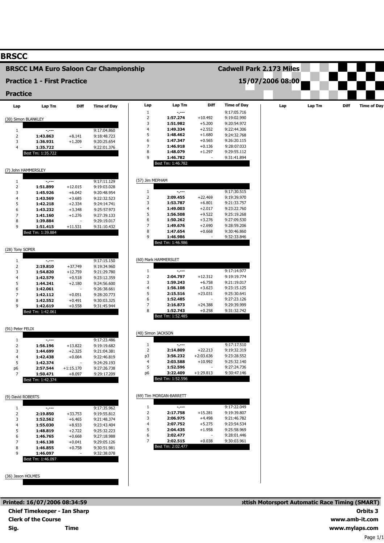# **BRSCC**

## **BRSCC LMA Euro Saloon Car Championship**

# **Practice 1 - First Practice**

### **Practice**

| <b>Practice</b>     |                              |             |                            |                    |                         |                          |                            |     |        |      |                    |
|---------------------|------------------------------|-------------|----------------------------|--------------------|-------------------------|--------------------------|----------------------------|-----|--------|------|--------------------|
| Lap                 | Lap Tm                       | Diff        | <b>Time of Day</b>         | Lap                | Lap Tm                  | <b>Diff</b>              | <b>Time of Day</b>         | Lap | Lap Tm | Diff | <b>Time of Day</b> |
|                     |                              |             |                            | $\mathbf{1}$       | -.---                   |                          | 9:17:05.716                |     |        |      |                    |
| (30) Simon BLANKLEY |                              |             |                            | 2                  | 1:57.274                | $+10.492$                | 9:19:02.990                |     |        |      |                    |
|                     |                              |             |                            | 3<br>4             | 1:51.982<br>1:49.334    | $+5.200$<br>$+2.552$     | 9:20:54.972<br>9:22:44.306 |     |        |      |                    |
| 1                   | -.---                        |             | 9:17:04.860                | 5                  | 1:48.462                | $+1.680$                 |                            |     |        |      |                    |
| $\mathbf 2$         | 1:43.863                     | $+8.141$    | 9:18:48.723                | 6                  | 1:47.347                | $+0.565$                 | 9:24:32.768<br>9:26:20.115 |     |        |      |                    |
| 3                   | 1:36.931                     | $+1.209$    | 9:20:25.654                | 7                  | 1:46.918                | $+0.136$                 | 9:28:07.033                |     |        |      |                    |
| $\overline{4}$      | 1:35.722                     | ÷,          | 9:22:01.376                | 8                  | 1:48.079                | $+1.297$                 | 9:29:55.112                |     |        |      |                    |
|                     | Best Tm: 1:35.722            |             |                            | 9                  | 1:46.782                |                          | 9:31:41.894                |     |        |      |                    |
|                     |                              |             |                            |                    | Best Tm: 1:46.782       |                          |                            |     |        |      |                    |
| (7) John HAMMERSLEY |                              |             |                            |                    |                         |                          |                            |     |        |      |                    |
| 1                   | $\sim$ , $\sim$ $\sim$       |             | 9:17:11.129                | (57) Jim MEPHAM    |                         |                          |                            |     |        |      |                    |
| $\overline{2}$      | 1:51.899                     | $+12.015$   | 9:19:03.028                |                    |                         |                          |                            |     |        |      |                    |
| 3                   | 1:45.926                     | $+6.042$    | 9:20:48.954                | $\mathbf{1}$       | -.---                   |                          | 9:17:30.515                |     |        |      |                    |
| $\overline{4}$      | 1:43.569                     | $+3.685$    | 9:22:32.523                | 2                  | 2:09.455                | $+22.469$                | 9:19:39.970                |     |        |      |                    |
| 5                   | 1:42.218                     | $+2.334$    | 9:24:14.741                | 3                  | 1:53.787                | $+6.801$                 | 9:21:33.757                |     |        |      |                    |
| 6                   | 1:43.232                     | $+3.348$    | 9:25:57.973                | 4                  | 1:49.003                | $+2.017$                 | 9:23:22.760                |     |        |      |                    |
| 7                   | 1:41.160                     | $+1.276$    | 9:27:39.133                | 5                  | 1:56.508                | $+9.522$                 | 9:25:19.268                |     |        |      |                    |
| 8                   | 1:39.884                     |             | 9:29:19.017                | 6                  | 1:50.262                | $+3.276$                 | 9:27:09.530                |     |        |      |                    |
| 9                   | 1:51.415                     | $+11.531$   | 9:31:10.432                | 7                  | 1:49.676                | $+2.690$                 | 9:28:59.206                |     |        |      |                    |
|                     | Best Tm: 1:39.884            |             |                            | 8                  | 1:47.654                | $+0.668$                 | 9:30:46.860                |     |        |      |                    |
|                     |                              |             |                            | 9                  | 1:46.986                | $\blacksquare$           | 9:32:33.846                |     |        |      |                    |
|                     |                              |             |                            |                    | Best Tm: 1:46.986       |                          |                            |     |        |      |                    |
| (28) Tony SOPER     |                              |             |                            |                    |                         |                          |                            |     |        |      |                    |
|                     |                              |             |                            |                    | (60) Mark HAMMERSLET    |                          |                            |     |        |      |                    |
| 1<br>$\overline{2}$ | $-2 - 1 - 1 = 0$<br>2:19.810 | $+37.749$   | 9:17:15.150<br>9:19:34.960 |                    |                         |                          |                            |     |        |      |                    |
| 3                   | 1:54.820                     | $+12.759$   | 9:21:29.780                | 1                  | $-2 - 1$                |                          | 9:17:14.977                |     |        |      |                    |
| $\overline{4}$      | 1:42.579                     | $+0.518$    | 9:23:12.359                | 2                  | 2:04.797                | $+12.312$                | 9:19:19.774                |     |        |      |                    |
| 5                   | 1:44.241                     | $+2.180$    | 9:24:56.600                | 3                  | 1:59.243                | $+6.758$                 | 9:21:19.017                |     |        |      |                    |
| 6                   | 1:42.061                     |             | 9:26:38.661                | 4                  | 1:56.108                | $+3.623$                 | 9:23:15.125                |     |        |      |                    |
| 7                   | 1:42.112                     | $+0.051$    | 9:28:20.773                | 5                  | 2:15.516                | $+23.031$                | 9:25:30.641                |     |        |      |                    |
| 8                   | 1:42.552                     | $+0.491$    | 9:30:03.325                | 6                  | 1:52.485                | $\blacksquare$           | 9:27:23.126                |     |        |      |                    |
| 9                   | 1:42.619                     | $+0.558$    | 9:31:45.944                | 7                  | 2:16.873                | $+24.388$                | 9:29:39.999                |     |        |      |                    |
|                     | Best Tm: 1:42.061            |             |                            | 8                  | 1:52.743                | $+0.258$                 | 9:31:32.742                |     |        |      |                    |
|                     |                              |             |                            |                    | Best Tm: 1:52.485       |                          |                            |     |        |      |                    |
| (91) Peter FELIX    |                              |             |                            |                    |                         |                          |                            |     |        |      |                    |
|                     |                              |             |                            | (40) Simon JACKSON |                         |                          |                            |     |        |      |                    |
| 1                   | $\sim$ , $\sim$ $\sim$       |             | 9:17:23.486                |                    |                         |                          |                            |     |        |      |                    |
| $\overline{2}$      | 1:56.196                     | $+13.822$   | 9:19:19.682                | 1                  | $-2 - 1$                |                          | 9:17:17.510                |     |        |      |                    |
| 3                   | 1:44.699                     | $+2.325$    | 9:21:04.381                | $\overline{2}$     | 2:14.809                | $+22.213$                | 9:19:32.319                |     |        |      |                    |
| 4                   | 1:42.438                     | $+0.064$    | 9:22:46.819                | p3                 | 3:56.232<br>2:03.588    | $+2:03.636$              | 9:23:28.552                |     |        |      |                    |
| 5                   | 1:42.374                     |             | 9:24:29.193                | 4<br>5             | 1:52.596                | $+10.992$                | 9:25:32.140<br>9:27:24.736 |     |        |      |                    |
| p6                  | 2:57.544                     | $+1:15.170$ | 9:27:26.738                | p6                 | 3:22.409                | $+1:29.813$              | 9:30:47.146                |     |        |      |                    |
| 7                   | 1:50.471                     | $+8.097$    | 9:29:17.209                |                    | Best Tm: 1:52.596       |                          |                            |     |        |      |                    |
|                     | Best Tm: 1:42.374            |             |                            |                    |                         |                          |                            |     |        |      |                    |
|                     |                              |             |                            |                    | (69) Tim MORGAN-BARRETT |                          |                            |     |        |      |                    |
| (9) David ROBERTS   |                              |             |                            |                    |                         |                          |                            |     |        |      |                    |
| 1                   |                              |             | 9:17:35.962                | 1                  | $-1$                    |                          | 9:17:22.049                |     |        |      |                    |
| $\overline{2}$      | $\sim$<br>2:19.850           | $+33.753$   | 9:19:55.812                | 2                  | 2:17.758                | $+15.281$                | 9:19:39.807                |     |        |      |                    |
| 3                   | 1:52.562                     | $+6.465$    | 9:21:48.374                | 3                  | 2:06.975                | $+4.498$                 | 9:21:46.782                |     |        |      |                    |
| 4                   | 1:55.030                     | $+8.933$    | 9:23:43.404                | 4                  | 2:07.752                | $+5.275$                 | 9:23:54.534                |     |        |      |                    |
| 5                   | 1:48.819                     | $+2.722$    | 9:25:32.223                | 5                  | 2:04.435                | $+1.958$                 | 9:25:58.969                |     |        |      |                    |
| 6                   | 1:46.765                     | $+0.668$    | 9:27:18.988                | 6                  | 2:02.477                | $\overline{\phantom{a}}$ | 9:28:01.446                |     |        |      |                    |
| $\overline{7}$      | 1:46.138                     | $+0.041$    | 9:29:05.126                | 7                  | 2:02.515                | $+0.038$                 | 9:30:03.961                |     |        |      |                    |

| FIQUUCE 1 - I IISL FIQUU |  |  |
|--------------------------|--|--|
|                          |  |  |
|                          |  |  |

#### **Lap** 1 2 3 4 5 6 7 8 9 Best Tm: 1:46.782 **Lap Tm -.--- 1:57.274 1:51.982 1:49.334 1:48.462 1:47.347 1:46.918 1:48.079 1:46.782 Diff** +10.492 +5.200 +2.552 +1.680 +0.565 +0.136 +1.297 - **Time of Day** 9:17:05.716 9:19:02.990 9:20:54.972 9:22:44.306 9:24:32.768 9:26:20.115 9:28:07.033 9:29:55.112 9:31:41.894

**Cadwell Park 2.173 Miles**

**15/07/2006 08:00**

#### (57) Jim MEPHAM 1 2 3 4 5 6 7 8 9 Best Tm: 1:46.986 **-.--- 2:09.455 1:53.787 1:49.003 1:56.508 1:50.262 1:49.676 1:47.654 1:46.986** +22.469 +6.801 +2.017 +9.522 +3.276 +2.690 +0.668 - 9:17:30.515 9:19:39.970 9:21:33.757 9:23:22.760 9:25:19.268 9:27:09.530 9:28:59.206 9:30:46.860 9:32:33.846

| (60) Mark HAMMERSLET |                   |           |             |  |  |  |  |  |
|----------------------|-------------------|-----------|-------------|--|--|--|--|--|
|                      |                   |           |             |  |  |  |  |  |
| 1                    |                   |           | 9:17:14.977 |  |  |  |  |  |
| $\overline{2}$       | 2:04.797          | $+12.312$ | 9:19:19.774 |  |  |  |  |  |
| 3                    | 1:59.243          | $+6.758$  | 9:21:19.017 |  |  |  |  |  |
| 4                    | 1:56.108          | $+3.623$  | 9:23:15.125 |  |  |  |  |  |
| 5                    | 2:15.516          | $+23.031$ | 9:25:30.641 |  |  |  |  |  |
| 6                    | 1:52.485          |           | 9:27:23.126 |  |  |  |  |  |
| 7                    | 2:16.873          | $+24.388$ | 9:29:39.999 |  |  |  |  |  |
| 8                    | 1:52.743          | $+0.258$  | 9:31:32.742 |  |  |  |  |  |
|                      | Best Tm: 1:52.485 |           |             |  |  |  |  |  |

| (40) Simon JACKSON |                   |             |             |  |  |  |  |
|--------------------|-------------------|-------------|-------------|--|--|--|--|
|                    |                   |             |             |  |  |  |  |
| 1                  |                   |             | 9:17:17.510 |  |  |  |  |
| $\mathcal{P}$      | 2:14.809          | $+22.213$   | 9:19:32.319 |  |  |  |  |
| p3                 | 3:56.232          | $+2:03.636$ | 9:23:28.552 |  |  |  |  |
| 4                  | 2:03.588          | $+10.992$   | 9:25:32.140 |  |  |  |  |
| 5                  | 1:52.596          |             | 9:27:24.736 |  |  |  |  |
| p6                 | 3:22.409          | $+1:29.813$ | 9:30:47.146 |  |  |  |  |
|                    | Best Tm: 1:52.596 |             |             |  |  |  |  |

| (69) Tim MORGAN-BARRETT |                   |           |             |  |  |  |  |
|-------------------------|-------------------|-----------|-------------|--|--|--|--|
|                         |                   |           |             |  |  |  |  |
| 1                       |                   |           | 9:17:22.049 |  |  |  |  |
| 2                       | 2:17.758          | $+15.281$ | 9:19:39.807 |  |  |  |  |
| 3                       | 2:06.975          | $+4.498$  | 9:21:46.782 |  |  |  |  |
| 4                       | 2:07.752          | $+5.275$  | 9:23:54.534 |  |  |  |  |
| 5                       | 2:04.435          | $+1.958$  | 9:25:58.969 |  |  |  |  |
| 6                       | 2:02.477          |           | 9:28:01.446 |  |  |  |  |
| 7                       | 2:02.515          | $+0.038$  | 9:30:03.961 |  |  |  |  |
|                         | Best Tm: 2:02.477 |           |             |  |  |  |  |

(36) Jason HOLMES

Best Tm: 1:46.097

**1:46.855 1:46.097**

+0.758 -

9:30:51.981 9:32:38.078

8 9

**Printed: 16/07/2006 08:34:59 Chief Timekeeper - Ian Sharp Clerk of the Course Sig. Time**

# **ottish Motorsport Automatic Race Timing (SMART) Orbits 3 www.amb-it.com www.mylaps.com**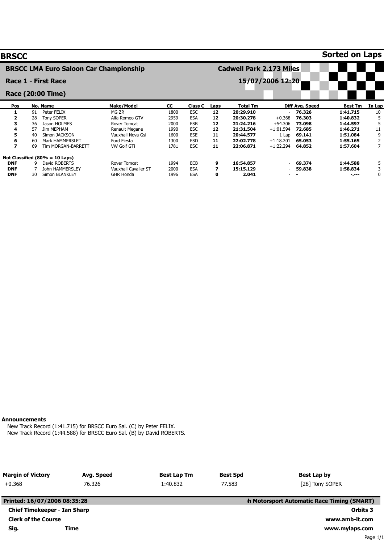| <b>BRSCC</b>                                  |    |                                   |                             |           |                |                                 |           |                          |                 | <b>Sorted on Laps</b> |                |
|-----------------------------------------------|----|-----------------------------------|-----------------------------|-----------|----------------|---------------------------------|-----------|--------------------------|-----------------|-----------------------|----------------|
| <b>BRSCC LMA Euro Saloon Car Championship</b> |    |                                   |                             |           |                | <b>Cadwell Park 2.173 Miles</b> |           |                          |                 |                       |                |
|                                               |    | Race 1 - First Race               |                             |           |                |                                 |           | 15/07/2006 12:20         |                 |                       |                |
|                                               |    | Race (20:00 Time)                 |                             |           |                |                                 |           |                          |                 |                       |                |
| Pos                                           |    | No. Name                          | <b>Make/Model</b>           | <b>CC</b> | <b>Class C</b> | Laps                            | Total Tm  |                          | Diff Avg. Speed | <b>Best Tm</b>        | In Lap         |
|                                               | 91 | Peter FELIX                       | MG ZR                       | 1800      | <b>ESC</b>     | 12                              | 20:29.910 | $\overline{\phantom{a}}$ | 76.326          | 1:41.715              | 10             |
|                                               | 28 | <b>Tony SOPER</b>                 | Alfa Romeo GTV              | 2959      | <b>ESA</b>     | 12                              | 20:30.278 | $+0.368$                 | 76.303          | 1:40.832              | 5              |
| 3                                             | 36 | Jason HOLMES                      | Rover Tomcat                | 2000      | <b>ESB</b>     | 12                              | 21:24.216 | $+54.306$                | 73,098          | 1:44.597              | 5              |
| 4                                             | 57 | <b>Jim MEPHAM</b>                 | Renault Megane              | 1990      | <b>ESC</b>     | 12                              | 21:31.504 | $+1:01.594$              | 72.685          | 1:46.271              | 11             |
| 5                                             | 40 | Simon JACKSON                     | Vauxhall Nova Gsi           | 1600      | <b>ESE</b>     | 11                              | 20:44.577 | 1 Lap                    | 69.141          | 1:51.084              | 9              |
| 6                                             | 60 | <b>Mark HAMMERSLET</b>            | Ford Fiesta                 | 1300      | <b>ESD</b>     | 11                              | 22:02.778 | $+1:18.201$              | 65.053          | 1:55.165              | 2              |
| $\overline{\mathbf{z}}$                       | 69 | <b>Tim MORGAN-BARRETT</b>         | <b>VW Golf GTi</b>          | 1781      | <b>ESC</b>     | 11                              | 22:06.871 | $+1:22.294$              | 64.852          | 1:57.604              | $\overline{7}$ |
|                                               |    | Not Classified $(80\% = 10$ Laps) |                             |           |                |                                 |           |                          |                 |                       |                |
| <b>DNF</b>                                    | ٩  | David ROBERTS                     | Rover Tomcat                | 1994      | <b>ECB</b>     | 9                               | 16:54.857 | $\overline{\phantom{a}}$ | 69.374          | 1:44.588              | 5              |
| <b>DNF</b>                                    |    | <b>John HAMMERSLEY</b>            | <b>Vauxhall Cavalier ST</b> | 2000      | <b>ESA</b>     | 7                               | 15:15.129 |                          | 59,838          | 1:58.834              | 3              |
| <b>DNF</b>                                    | 30 | Simon BLANKLEY                    | <b>GHR Honda</b>            | 1996      | <b>ESA</b>     | 0                               | 2.041     |                          |                 | -.---                 | $\mathbf 0$    |

### **Announcements**

New Track Record (1:41.715) for BRSCC Euro Sal. (C) by Peter FELIX. New Track Record (1:44.588) for BRSCC Euro Sal. (B) by David ROBERTS.

| <b>Margin of Victory</b>            | Avg. Speed | <b>Best Lap Tm</b> | <b>Best Spd</b> | <b>Best Lap by</b>                          |
|-------------------------------------|------------|--------------------|-----------------|---------------------------------------------|
| $+0.368$                            | 76.326     | 1:40.832           | 77.583          | [28] Tony SOPER                             |
| Printed: 16/07/2006 08:35:28        |            |                    |                 | sh Motorsport Automatic Race Timing (SMART) |
| <b>Chief Timekeeper - Ian Sharp</b> |            |                    |                 | Orbits 3                                    |
| <b>Clerk of the Course</b>          |            |                    |                 | www.amb-it.com                              |
| Sig.                                | Time       |                    |                 | www.mylaps.com                              |
|                                     |            |                    |                 | Page 1/1                                    |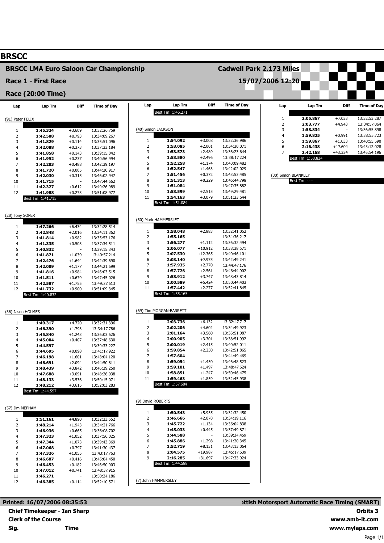## **BRSCC**

# **BRSCC LMA Euro Saloon Car Championship**

**Lap**

Best Tm: 1:46.271

**Lap Tm**

**Diff**

**Time of Day**

**Cadwell Park 2.173 Miles**

**15/07/2006 12:20**

**Race 1 - First Race**

## **Race (20:00 Time)**

| Lap               | Lap Tm               | Diff                 | <b>Time of Day</b>           |
|-------------------|----------------------|----------------------|------------------------------|
| (91) Peter FELIX  |                      |                      |                              |
|                   |                      |                      |                              |
| 1                 | 1:45.324             | $+3.609$             | 13:32:26.759                 |
| 2<br>3            | 1:42.508<br>1:41.829 | $+0.793$<br>$+0.114$ | 13:34:09.267<br>13:35:51.096 |
| 4                 | 1:42.088             | $+0.373$             | 13:37:33.184                 |
| 5                 | 1:41.858             | $+0.143$             | 13:39:15.042                 |
| 6                 | 1:41.952             | $+0.237$             | 13:40:56.994                 |
| 7                 | 1:42.203             | $+0.488$             | 13:42:39.197                 |
| 8                 | 1:41.720             | $+0.005$             | 13:44:20.917                 |
| 9                 | 1:42.030             | $+0.315$             | 13:46:02.947                 |
| 10                | 1:41.715             |                      | 13:47:44.662                 |
| 11                | 1:42.327             | $+0.612$             | 13:49:26.989                 |
| 12                | 1:41.988             | $+0.273$             | 13:51:08.977                 |
|                   | Best Tm: 1:41.715    |                      |                              |
| (28) Tony SOPER   |                      |                      |                              |
|                   |                      |                      |                              |
| 1                 | 1:47.266             | $+6.434$             | 13:32:28.514                 |
| 2                 | 1:42.848             | $+2.016$             | 13:34:11.362                 |
| 3                 | 1:41.814             | $+0.982$             | 13:35:53.176                 |
| 4                 | 1:41.335             | $+0.503$             | 13:37:34.511                 |
| 5                 | 1:40.832             |                      | 13:39:15.343                 |
| 6                 | 1:41.871             | $+1.039$             | 13:40:57.214                 |
| 7<br>8            | 1:42.476<br>1:42.009 | $+1.644$<br>$+1.177$ | 13:42:39.690<br>13:44:21.699 |
| 9                 | 1:41.816             | $+0.984$             | 13:46:03.515                 |
| 10                | 1:41.511             | $+0.679$             | 13:47:45.026                 |
| 11                | 1:42.587             | $+1.755$             | 13:49:27.613                 |
| 12                | 1:41.732             | $+0.900$             | 13:51:09.345                 |
|                   | Best Tm: 1:40.832    |                      |                              |
|                   |                      |                      |                              |
| (36) Jason HOLMES |                      |                      |                              |
|                   |                      |                      |                              |
| 1                 | 1:49.317             | $+4.720$             | 13:32:31.396                 |
| 2<br>3            | 1:46.390<br>1:45.840 | $+1.793$<br>$+1.243$ | 13:34:17.786                 |
| 4                 | 1:45.004             | $+0.407$             | 13:36:03.626<br>13:37:48.630 |
| 5                 | 1:44.597             |                      | 13:39:33.227                 |
| 6                 | 1:44.695             | $+0.098$             | 13:41:17.922                 |
| 7                 | 1:46.198             | $+1.601$             | 13:43:04.120                 |
| 8                 | 1:46.691             | $+2.094$             | 13:44:50.811                 |
| 9                 | 1:48.439             | $+3.842$             | 13:46:39.250                 |
| 10                | 1:47.688             | $+3.091$             | 13:48:26.938                 |
| 11                | 1:48.133             | $+3.536$             | 13:50:15.071                 |
| 12                | 1:48.212             | $+3.615$             | 13:52:03.283                 |
|                   | ш                    |                      |                              |
|                   |                      |                      |                              |
| (57) Jim MEPHAM   |                      |                      |                              |
| 1                 | 1:51.161             | +4.890               | 13:32:33.552                 |
| 2                 | 1:48.214             | +1.943               | 13:34:21.766                 |
| 3                 | 1:46.936             | $+0.665$             | 13:36:08.702                 |
| 4                 | 1:47.323             | $+1.052$             | 13:37:56.025                 |
| 5                 | 1:47.344             | $+1.073$             | 13:39:43.369                 |
| 6                 | 1:47.068             | $+0.797$             | 13:41:30.437                 |
| 7                 | 1:47.326             | $+1.055$             | 13:43:17.763                 |
| 8                 | 1:46.687             | $+0.416$             | 13:45:04.450<br>13:46:50.903 |
| 9<br>10           | 1:46.453<br>1:47.012 | $+0.182$<br>$+0.741$ | 13:48:37.915                 |
| 11                | 1:46.271             |                      | 13:50:24.186                 |
| 12                | 1:46.385             | $+0.114$             | 13:52:10.571                 |
|                   |                      |                      |                              |

| Printed: 16/07/2006 08:35:53        |
|-------------------------------------|
| <b>Chief Timekeeper - Ian Sharp</b> |
| <b>Clerk of the Course</b>          |
| Time                                |
|                                     |

| 1                          | 1:54.092                      | $+3.008$             | 13:32:36.986                 |
|----------------------------|-------------------------------|----------------------|------------------------------|
| 2                          | 1:53.085                      | $+2.001$<br>$+2.489$ | 13:34:30.071<br>13:36:23.644 |
| 3<br>4                     | 1:53.573<br>1:53.580          | $+2.496$             | 13:38:17.224                 |
| 5                          | 1:52.258                      | $+1.174$             | 13:40:09.482                 |
| 6                          | 1:52.547                      | $+1.463$             | 13:42:02.029                 |
| 7                          | 1:51.456                      | $+0.372$             | 13:43:53.485                 |
| 8                          | 1:51.313                      | $+0.229$             | 13:45:44.798                 |
| 9                          | 1:51.084                      |                      | 13:47:35.882                 |
| 10                         | 1:53.599                      | $+2.515$             | 13:49:29.481                 |
| 11                         | 1:54.163                      | $+3.079$             | 13:51:23.644                 |
|                            | Best Tm: 1:51.084             |                      |                              |
|                            |                               |                      |                              |
|                            | (60) Mark HAMMERSLET          |                      |                              |
| 1                          | 1:58.048                      | $+2.883$             | 13:32:41.052                 |
| 2                          | 1:55.165                      |                      | 13:34:36.217                 |
| 3                          | 1:56.277                      | $+1.112$             | 13:36:32.494                 |
| 4                          | 2:06.077                      | $+10.912$            | 13:38:38.571                 |
| 5                          | 2:07.530                      | $+12.365$            | 13:40:46.101                 |
| 6                          | 2:03.140                      | +7.975               | 13:42:49.241                 |
| 7<br>8                     | 1:57.935<br>1:57.726          | $+2.770$<br>$+2.561$ | 13:44:47.176<br>13:46:44.902 |
| 9                          | 1:58.912                      | $+3.747$             | 13:48:43.814                 |
| 10                         | 2:00.589                      | $+5.424$             | 13:50:44.403                 |
| 11                         | 1:57.442                      | $+2.277$             | 13:52:41.845                 |
|                            | Best Tm: 1:55.165             |                      |                              |
|                            |                               |                      |                              |
|                            | (69) Tim MORGAN-BARRETT       |                      |                              |
|                            |                               |                      |                              |
| 1                          | 2:03.736                      | $+6.132$             | 13:32:47.717                 |
| 2                          | 2:02.206                      | +4.602               | 13:34:49.923                 |
| 3                          | 2:01.164                      | $+3.560$             | 13:36:51.087                 |
| 4                          | 2:00.905                      | $+3.301$             | 13:38:51.992                 |
| 5                          | 2:00.019                      | $+2.415$             | 13:40:52.011                 |
| 6<br>7                     | 1:59.854<br>1:57.604          | $+2.250$             | 13:42:51.865                 |
| 8                          | 1:59.054                      | $+1.450$             | 13:44:49.469<br>13:46:48.523 |
| 9                          | 1:59.101                      | +1.497               | 13:48:47.624                 |
|                            | 1:58.851                      | $+1.247$             | 13:50:46.475                 |
|                            | 1:59.463                      | $+1.859$             | 13:52:45.938                 |
|                            | Best Tm: 1:57.604             |                      |                              |
|                            |                               |                      |                              |
| 10<br>11                   | (9) David ROBERTS             |                      |                              |
| 1                          | 1:50.543                      | $+5.955$             | 13:32:32.450                 |
|                            | 1:46.666                      | $+2.078$             | 13:34:19.116                 |
|                            | 1:45.722                      | $+1.134$             | 13:36:04.838                 |
|                            | 1:45.033                      | $+0.445$             | 13:37:49.871                 |
|                            | 1:44.588                      |                      | 13:39:34.459                 |
|                            | 1:45.886                      | $+1.298$             | 13:41:20.345                 |
| 2<br>3<br>4<br>5<br>6<br>7 | 1:52.719                      | $+8.131$             | 13:43:13.064                 |
| 8                          | 2:04.575                      | $+19.987$            | 13:45:17.639                 |
| 9                          | 2:16.285<br>Best Tm: 1:44.588 | $+31.697$            | 13:47:33.924                 |

#### **Lap** 1 2 3 4 5 6 7 Best Tm: 1:58.834 **Lap Tm 2:05.867 2:03.777 1:58.834 1:59.825 1:59.867 2:16.438 2:42.168 Diff** +7.033 +4.943 - +0.991 +1.033 +17.604 +43.334 **Time of Day** 13:32:53.287 13:34:57.064 13:36:55.898 13:38:55.723 13:40:55.590 13:43:12.028 13:45:54.196

(30) Simon BLANKLEY

Best Tm: -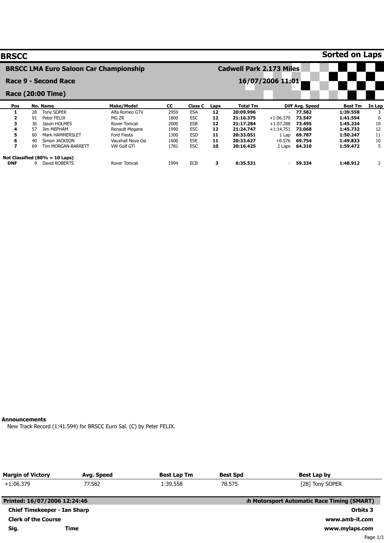| <b>BRSCC</b>                                  |                                   |                   |      |            |      |                                 |                          |                 | <b>Sorted on Laps</b> |        |
|-----------------------------------------------|-----------------------------------|-------------------|------|------------|------|---------------------------------|--------------------------|-----------------|-----------------------|--------|
| <b>BRSCC LMA Euro Saloon Car Championship</b> |                                   |                   |      |            |      | <b>Cadwell Park 2.173 Miles</b> |                          |                 |                       |        |
|                                               | Race 9 - Second Race              |                   |      |            |      |                                 | 16/07/2006 11:01         |                 |                       |        |
|                                               | Race (20:00 Time)                 |                   |      |            |      |                                 |                          |                 |                       |        |
| Pos                                           | No. Name                          | <b>Make/Model</b> | CC.  | Class C    | Laps | Total Tm                        |                          | Diff Avg. Speed | <b>Best Tm</b>        | In Lap |
|                                               | <b>Tony SOPER</b><br>28           | Alfa Romeo GTV    | 2959 | <b>ESA</b> | 12   | 20:09.996                       |                          | $-77.582$       | 1:39.558              | 3      |
| $\overline{2}$                                | Peter FELIX<br>91                 | MG ZR             | 1800 | <b>ESC</b> | 12   | 21:16.375                       | $+1:06.379$              | 73.547          | 1:41.594              | 6      |
| 3                                             | 36<br>Jason HOLMES                | Rover Tomcat      | 2000 | <b>ESB</b> | 12   | 21:17.284                       | $+1:07.288$              | 73.495          | 1:45.234              | 10     |
| 4                                             | 57<br>Jim MEPHAM                  | Renault Megane    | 1990 | <b>ESC</b> | 12   | 21:24.747                       | $+1:14.751$              | 73.068          | 1:45.732              | 12     |
| 5.                                            | 60<br><b>Mark HAMMERSLET</b>      | Ford Fiesta       | 1300 | <b>ESD</b> | 11   | 20:33.051                       | 1 Lap                    | 69.787          | 1:50.247              | 11     |
| 6                                             | 40<br>Simon JACKSON               | Vauxhall Nova Gsi | 1600 | <b>ESE</b> | 11   | 20:33.627                       | $+0.576$                 | 69.754          | 1:49.833              | 10     |
| $\overline{\phantom{a}}$                      | 69<br>Tim MORGAN-BARRETT          | VW Golf GTi       | 1781 | <b>ESC</b> | 10   | 20:16.425                       | 2 Laps                   | 64.310          | 1:59.472              | 5      |
|                                               | Not Classified $(80\% = 10$ Laps) |                   |      |            |      |                                 |                          |                 |                       |        |
| <b>DNF</b>                                    | q<br>David ROBERTS                | Rover Tomcat      | 1994 | <b>ECB</b> | з    | 6:35.531                        | $\overline{\phantom{a}}$ | 59.334          | 1:48.912              | 2      |

## **Announcements**

New Track Record (1:41.594) for BRSCC Euro Sal. (C) by Peter FELIX.

| <b>Margin of Victory</b>            | Avg. Speed | <b>Best Lap Tm</b> | <b>Best Spd</b> | <b>Best Lap by</b>                          |  |  |
|-------------------------------------|------------|--------------------|-----------------|---------------------------------------------|--|--|
| $+1:06.379$                         | 77.582     | 1:39.558           | 78.575          | [28] Tony SOPER                             |  |  |
| Printed: 16/07/2006 12:24:46        |            |                    |                 | sh Motorsport Automatic Race Timing (SMART) |  |  |
| <b>Chief Timekeeper - Ian Sharp</b> | Time       | Orbits 3           |                 |                                             |  |  |
| <b>Clerk of the Course</b>          |            |                    |                 | www.amb-it.com                              |  |  |
| Sig.                                |            |                    |                 | www.mylaps.com                              |  |  |
|                                     |            |                    |                 | Page 1/1                                    |  |  |